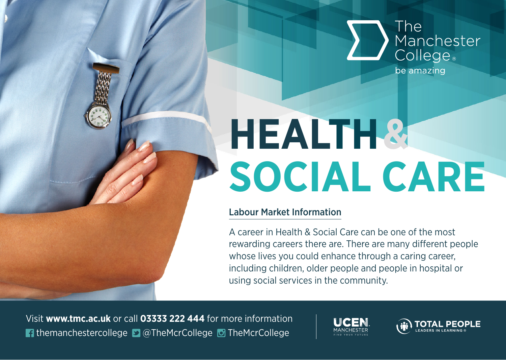

## **HEALTH &SOCIAL CARE**

## Labour Market Information

A career in Health & Social Care can be one of the most rewarding careers there are. There are many different people whose lives you could enhance through a caring career. including children, older people and people in hospital or using social services in the community.

Visit **www.tmc.ac.uk** or call **03333 222 444** for more information **T** themanchestercollege **D** @TheMcrCollege **D** TheMcrCollege